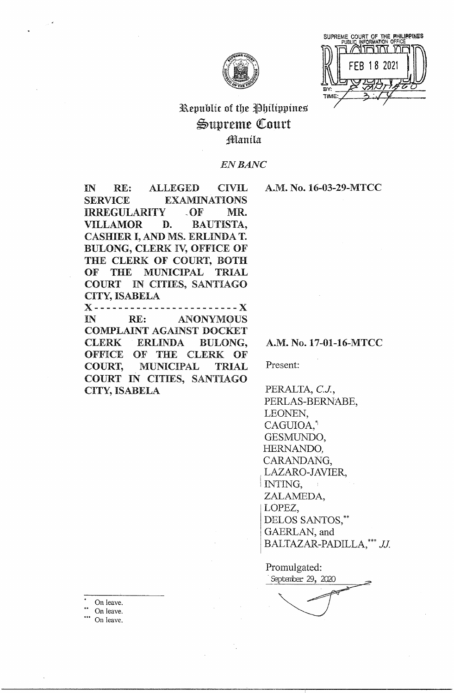

SUPREME COURT OF THE PHILIPPINES<br>PUBLIC INFORMATION OFFICE חת זהורחוו 18 2021

# Republic of the Philippines Supreme Court Manila

# **EN BANC**

IN **ALLEGED CIVIL** RE: **SERVICE EXAMINATIONS IRREGULARITY**  $\Omega$ F MR. **VILLAMOR** D. **BAUTISTA,** CASHIER I, AND MS. ERLINDA T. BULONG, CLERK IV, OFFICE OF THE CLERK OF COURT, BOTH OF **THE** MUNICIPAL TRIAL COURT IN CITIES, SANTIAGO CITY, ISABELA ------- X X ------------- $IN$ RE: **ANONYMOUS COMPLAINT AGAINST DOCKET CLERK ERLINDA BULONG,** OFFICE OF THE CLERK OF **MUNICIPAL COURT. TRIAL** 

COURT IN CITIES, SANTIAGO

**CITY, ISABELA** 

A.M. No. 16-03-29-MTCC

A.M. No. 17-01-16-MTCC

Present:

PERALTA, C.J., PERLAS-BERNABE, LEONEN. CAGUIOA,<sup>\*</sup> GESMUNDO, HERNANDO, CARANDANG, LAZARO-JAVIER, INTING, ZALAMEDA, LOPEZ, DELOS SANTOS,\*\* GAERLAN, and BALTAZAR-PADILLA, \*\*\* JJ.

Promulgated: September 29, 2020

On leave.

On leave.

On leave.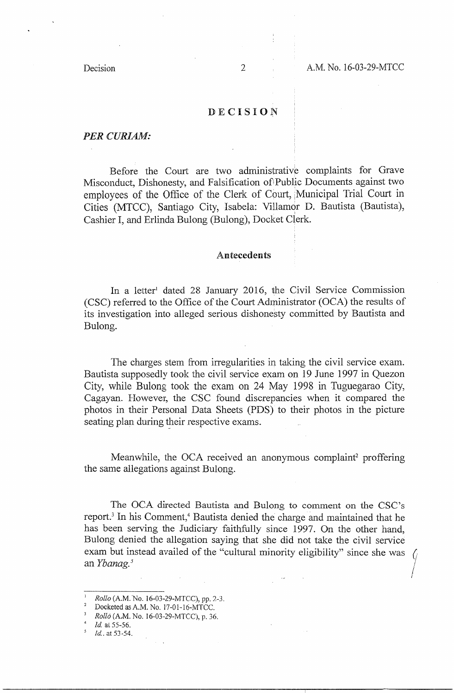Decision 2 A.M. No. 16-03-29-MTCC

## DECISION

### *PERCURIAM:*

Before the Court are two administrative complaints for Grave Misconduct, Dishonesty, and Falsification ofiPublic Documents against two employees of the Office of the Clerk of Court, 1Municipal Trial Court in Cities (MTCC), Santiago City, Isabela: Villamor D. Bautista (Bautista), Cashier I, and Erlinda Bulong (Bulong), Docket Clerk.

## **Antecedents**

In a letter<sup>1</sup> dated 28 January 2016, the Civil Service Commission (CSC) referred to the Office of the Court Administrator (OCA) the results of its investigation into alleged serious dishonesty committed by Bautista and Bulong.

The charges stem from irregularities in taking the civil service exam. Bautista supposedly took the civil service exam on 19 June 1997 in Quezon City, while Bulong took the exam on 24 May 1998 in Tuguegarao City, Cagayan. However, the CSC found discrepancies when it compared the photos in their Personal Data Sheets (PDS) to their photos in the picture seating plan during their respective exams.

Meanwhile, the OCA received an anonymous complaint<sup>2</sup> proffering the same allegations against Bulong.

The OCA directed Bautista and Bulong to comment on the CSC's report.<sup>3</sup> In his Comment,<sup>4</sup> Bautista denied the charge and maintained that he has been serving the Judiciary faithfully since 1997. On the other hand, Bulong denied the allegation saying that she did not take the civil service exam but instead availed of the "cultural minority eligibility" since she was an *Ybanag.* <sup>5</sup>

- $\frac{4}{1}$  Id. at 55-56.
- Id. at 53-54.

<sup>1</sup>*Rollo* (A.M. No. 16-03-29-MTCC), pp. *7-3.* 

 $^{2}$  Docketed as A.M. No. 17-01-16-MTCC.

*Rollo* (A.M. No. 16-03-29-MTCC), p. 36.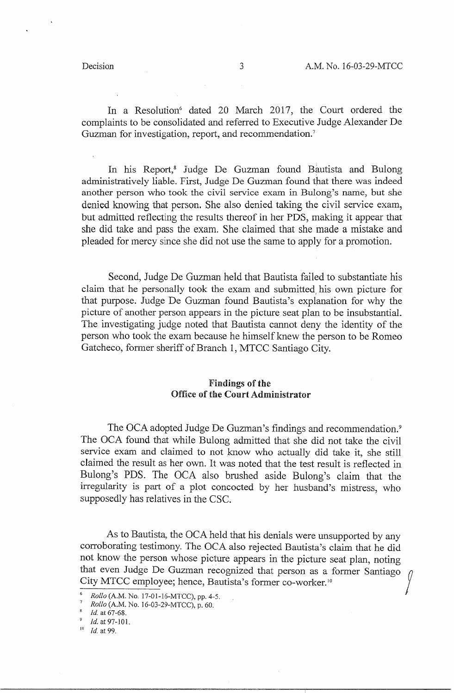In a Resolution<sup>6</sup> dated 20 March 2017, the Court ordered the complaints to be consolidated and referred to Executive Judge Alexander De Guzman for investigation, report, and recommendation.<sup>7</sup>

In his Report,<sup>8</sup> Judge De Guzman found Bautista and Bulong administratively liable. First, Judge De Guzman found that there was indeed another person who took the civil service exam in Bulong's name, but she denied knowing that person. She also denied taking the civil service exam, but admitted reflecting the results thereof in her PDS, making it appear that she did take and pass the exam. She claimed that she made a mistake and pleaded for mercy since she did not use the same to apply for a promotion.

Second, Judge De Guzman held that Bautista failed to substantiate his claim that he personally took the exam and submitted, his own picture for that purpose. Judge De Guzman found Bautista's explanation for why the picture of another person appears in the picture seat plan to be insubstantial. The investigating judge noted that Bautista cannot deny the identity of the person who took the exam because he himself knew the person to be Romeo Gatcheco, former sheriff of Branch 1, MTCC Santiago City.

## Findings **of the**  Office **of** the **Court Administrator**

The OCA adopted Judge De Guzman's findings and recommendation.<sup>9</sup> The OCA found that while Bulong admitted that she did not take the civil service exam and claimed to not know who actually did take it, she still claimed the result as her own. It was noted that the test result is reflected in Bulong's PDS. The OCA also brushed aside Bulong's claim that the irregularity is part of a plot concocted by her husband's mistress, who supposedly has relatives in the CSC.

As to Bautista, the OCA held that his denials were unsupported by any corroborating testimony. The OCA also rejected Bautista's claim that he did not know the person whose picture appears in the picture seat plan, noting that even Judge De Guzman recognized that person as a former Santiago City MTCC employee; hence, Bautista's former co-worker.<sup>10</sup>

<sup>6</sup>*Rollo* (A.M. No. 17-01-16-MTCC), pp. 4-5.

*Rollo* (A.M. No. 16-03-29-MTCC), p. 60.

<sup>8</sup>*Id* at 67-68.

<sup>&</sup>lt;sup>9</sup> *Id.* at 97-101.

<sup>10</sup>*ld.* at 99.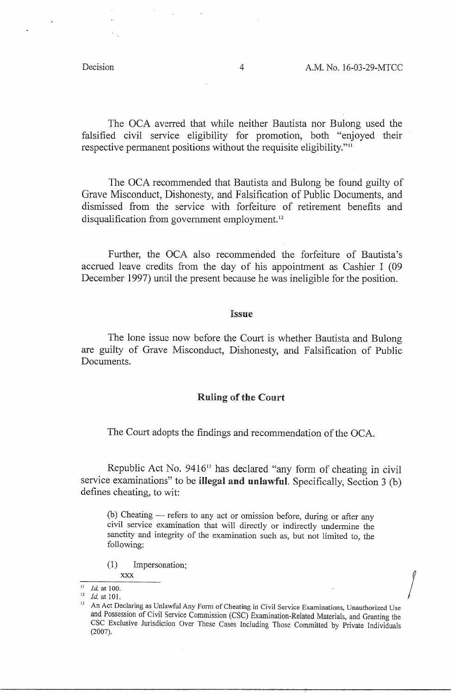$\int$ 

The OCA averred that while neither Bautista nor Bulong used the falsified civil service eligibility for promotion, both "enjoyed their respective permanent positions without the requisite eligibility."<sup>11</sup>

The OCA recommended that Bautista and Bulong be found guilty of Grave Misconduct, Dishonesty, and Falsification of Public Documents, and dismissed from the service with forfeiture of retirement benefits and disqualification from government employment.<sup>12</sup>

Further, the OCA also recommended the forfeiture of Bautista's accrued leave credits from the day of his appointment as Cashier I (09 December 1997) until the present because he was ineligible for the position.

#### Issue

The lone issue now before the Court is whether Bautista and Bulong are guilty of Grave Misconduct, Dishonesty, and Falsification of Public Documents.

## Ruling of the Comrt

The Court adopts the findings and recommendation of the OCA.

Republic Act No.  $9416^{13}$  has declared "any form of cheating in civil service examinations" to be **illegal and unlawful.** Specifically, Section 3 (b) defines cheating, to wit:

**(b)** Cheating - refers to any act or omission before, during or after any civil service examination that will directly or indirectly undermine the sanctity and integrity of the examination such as, but not limited to, the following:

(1) Impersonation;

**XXX** 

<sup>&</sup>lt;sup>11</sup> *Id.* at 100.

 $12 \text{ Id.}$  at 101.

An Act Declaring as Unlawful Any Form of Cheating in Civil Service Examinations, Unauthorized Use and Possession of Civil Service Commission (CSC) Examination-Related Materials, and Granting the CSC Exclusive Jurisdiction Over These Cases Including Those Committed by Private Individuals (2007).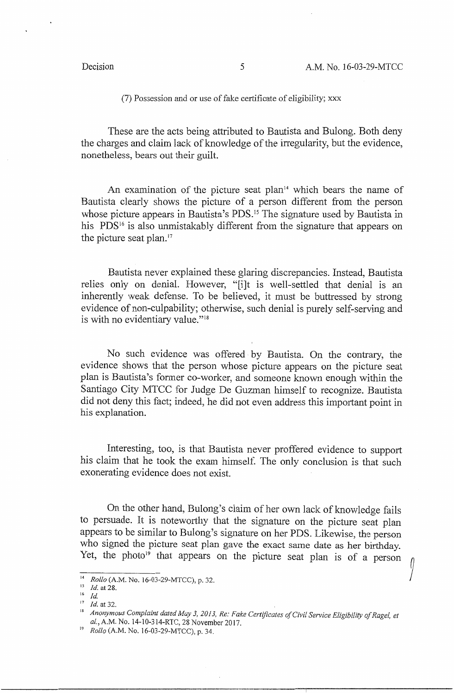(7) Possession and or use of fake certificate of eligibility; xxx

These are the acts being attributed to Bautista and Bulong. Both deny the charges and claim lack of knowledge of the irregularity, but the evidence, nonetheless, bears out their guilt.

An examination of the picture seat plan $14$  which bears the name of Bautista clearly shows the picture of a person different from the person whose picture appears in Bautista's PDS.<sup>15</sup> The signature used by Bautista in his PDS<sup>16</sup> is also unmistakably different from the signature that appears on the picture seat plan. $17$ 

Bautista never explained these glaring discrepancies. Instead, Bautista relies only on denial. However, "[i]t is well-settled that denial is an inherently weak defense. To be believed, it must be buttressed by strong evidence of non-culpability; otherwise, such denial is purely self-serving and is with no evidentiary value."<sup>18</sup>

No such evidence was offered by Bautista. On the contrary, the evidence shows that the person whose picture appears on the picture seat plan is Bautista's former co-worker, and someone known enough within the Santiago City MTCC for Judge De Guzman himself to recognize. Bautista did not deny this fact; indeed, he did not even address this important point in his explanation.

Interesting, too, is that Bautista never proffered evidence to support his claim that he took the exam himself. The only conclusion is that such exonerating evidence does not exist.

On the other hand, Bulong's claim of her own lack of knowledge fails to persuade. It is noteworthy that the signature on the picture seat plan appears to be similar to Bulong's signature on her PDS. Likewise, the person who signed the picture seat plan gave the exact same date as her birthday. Yet, the photo<sup>19</sup> that appears on the picture seat plan is of a person

<sup>14</sup>*Rollo* (A.M. No. 16-03-29-MTCC), p. 32.

<sup>15</sup>*Id.* at 28.

 $16$  *Id.* 

<sup>&</sup>lt;sup>17</sup> *Id.* at 32.

<sup>&</sup>lt;sup>18</sup> Anonymous Complaint dated May 3, 2013, Re: Fake Certificates of Civil Service Eligibility of Ragel, et al.,A.M. No. 14-10-314-RTC, 28 November 2017.

<sup>19</sup>*Rollo* (A.M. No. 16-03-29-MTCC), p. 34.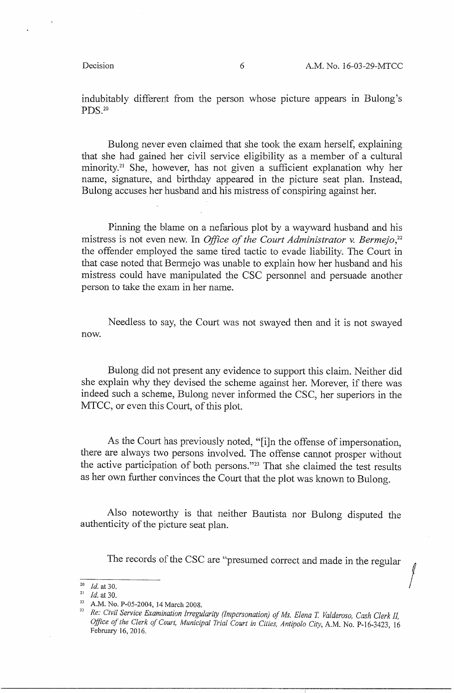indubitably different from the person whose picture appears in Bulong's PDS.20

Bulong never even claimed that she took the exam herself, explaining that she had gained her civil service eligibility as a member of a cultural minority.<sup>21</sup> She, however, has not given a sufficient explanation why her name, signature, and birthday appeared in the picture seat plan. Instead, Bulong accuses her husband and his mistress of conspiring against her.

Pinning the blame on a nefarious plot by a wayward husband and his mistress is not even new. In *Office of the Court Administrator v. Bermejo*,<sup>22</sup> the offender employed the same tired tactic to evade liability. The Court in that case noted that Bennejo was unable to explain how her husband and his mistress could have manipulated the CSC personnel and persuade another person to take the exam in her name.

Needless to say, the Court was not swayed then and it is not swayed now.

Bulong did not present any evidence to support this claim. Neither did she explain why they devised the scheme against her. Morever, if there was indeed such a scheme, Bulong never informed the CSC, her superiors in the MTCC, or even this Court, of this plot.

As the Court has previously noted, "[i]n the offense of impersonation, there are always two persons involved. The offense cannot prosper without the active participation of both persons."23 That she claimed the test results as her own further convinces the Court that the plot was known to Bulong.

Also noteworthy is that neither Bautista nor Bulong disputed the authenticity of the picture seat plan.

The records of the CSC are "presumed correct and made in the regular /

<sup>20</sup>*Id.* at 30.

<sup>21</sup>*Id.* at 30.

<sup>&</sup>lt;sup>22</sup> A.M. No. P-05-2004, 14 March 2008.

<sup>&</sup>lt;sup>23</sup> Re: Civil Service Examination Irregularity (Impersonation) of Ms. Elena T. Valderoso, Cash Clerk II, *Office of the Clerk of Court, Municipal Trial Court in Cities, Antipolo City,* A.M. No. P-16-3423, 16 February 16, 2016.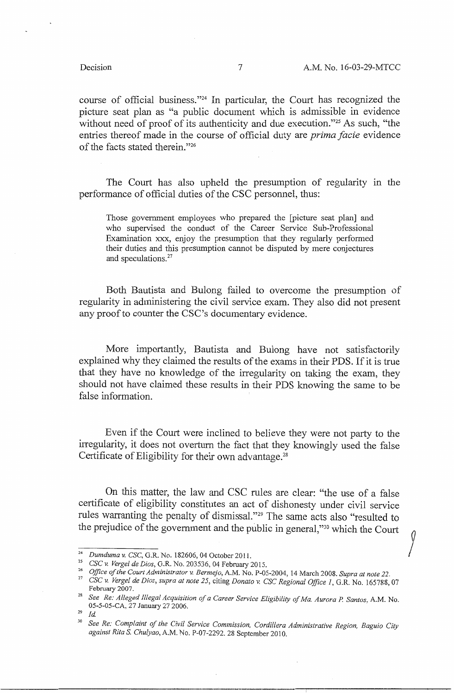course of official business."24 In particular, the Court has recognized the picture seat plan as "a public document which is admissible in evidence without need of proof of its authenticity and due execution."<sup>25</sup> As such, "the entries thereof made in the course of official duty are *prima facie* evidence of the facts stated therein."26

The Court has also upheld the presumption of regularity in the performance of official duties of the CSC personnel, thus:

Those government employees who prepared the [picture seat plan] and who supervised the conduct of the Career Service Sub-Professional Examination xxx, enjoy the presumption that they regularly performed their duties and this presumption cannot be disputed by mere conjectures and speculations.<sup>27</sup>

Both Bautista and Bulong failed to overcome the presumption of regularity in administering the civil service exam. They also did not present any proof to counter the CSC's documentary evidence.

More importantly, Bautista and Bulong have not satisfactorily explained why they claimed the results of the exams in their PDS. If it is true that they have no knowledge of the irregularity on taking the exam, they should not have claimed these results in their PDS knowing the same to be false information.

Even if the Court were inclined to believe they were not party to the irregularity, it does not overturn the fact that they knowingly used the false Certificate of Eligibility for their own advantage.<sup>28</sup>

On this matter, the law and CSC rules are clear: "the use of a false certificate of eligibility constitutes an act of dishonesty under civil service rules warranting the penalty of dismissal."<sup>29</sup> The same acts also "resulted to the prejudice of the government and the public in general,"<sup>30</sup> which the Court

<sup>24</sup>*Dumduma v. CSC,* G.R. No. 182606, 04 October 2011.

<sup>25</sup>*CSC v. Verge! de Dias,* G.R. No. 203536, 04 February 2015.

<sup>26</sup>*Office of the Court Administrator* v. *Bermejo,* A.M. No. P-05-2004, 14 March 2008. *Supra at note 22.* 

<sup>27</sup>*CSC v. Verge! de Dias, supra at note 25,* citing *Donato v. CSC Regional Office 1,* G.R. No. 165788, 07 February 2007.

<sup>28</sup>*See Re: Alleged Illegal Acquisition of a Career Service Eligibility of Ma. Aurora* P. *Santos,* A.M. No. 05-5-05-CA, 27 January 27 2006.

 $^{29}$  *Id* 

<sup>30</sup>*See Re: Complaint of the Civil Service Commission, Cordillera Administrative Region, Baguio City against Rita S. Chulyao,* A.M. No. P-07-2292. 28 September 2010.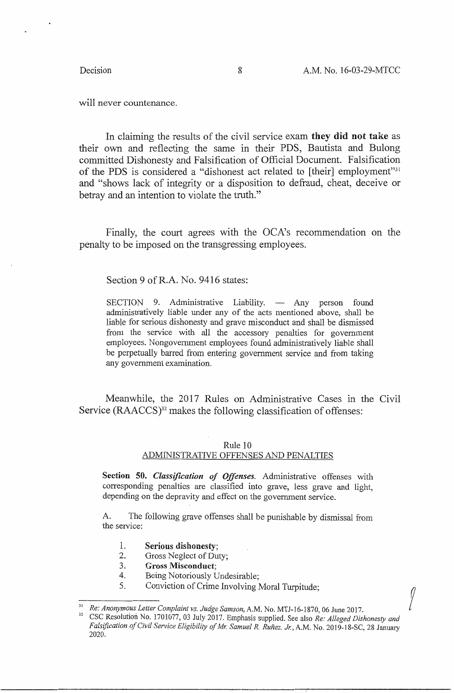$\int$ 

will never countenance.

In claiming the results of the civil service exam **they did not take** as their own and reflecting the same in their PDS, Bautista and Bulong committed Dishonesty and Falsification of Official Document. Falsification of the PDS is considered a "dishonest act related to [their] employment"<sup>31</sup> and "shows lack of integrity or a disposition to defraud, cheat, deceive or betray and an intention to violate the truth."

Finally, the court agrees with the OCA's recommendation on the penalty to be imposed on the transgressing employees.

Section 9 of R.A. No. 9416 states:

SECTION 9. Administrative Liability. - Any person found administratively liable under any of the acts mentioned above, shall be liable for serious dishonesty and grave misconduct and shall be dismissed from the service with all the accessory penalties for government employees. Nongovernment employees found administratively liable shall be perpetually barred from entering government service and from taking any government examination.

Meanwhile, the 2017 Rules on Administrative Cases in the Civil Service (RAACCS)<sup>32</sup> makes the following classification of offenses:

#### Rule 10

## ADMINISTRATIVE OFFENSES AND PENALTIES

**Section 50.** *Classification of Offenses.* Administrative offenses with corresponding penalties are classified into grave, less grave and light, depending on the depravity and effect on the government service.

A. The following grave offenses shall be punishable by dismissal from the service:

- 1. **Serious dishonesty;**
- 2. Gross Neglect of Duty;
- 3. **Gross Misconduct;**
- 4. Being Notoriously Undesirable;
- 5. Conviction of Crime Involving Moral Turpitude;

<sup>31</sup>*Re: Anonymous Letter Complaint vs. Judge Samson,* A.M. No. MT J-16-1870, 06 June 2017.

<sup>32</sup> CSC Resolution No. 1701077, 03 July 2017. Emphasis supplied. See also *Re: Alleged Dishonesty and*  Falsification of Civil Service Eligibility of Mr. Samuel R. Ruñez. Jr., A.M. No. 2019-18-SC, 28 January 2020.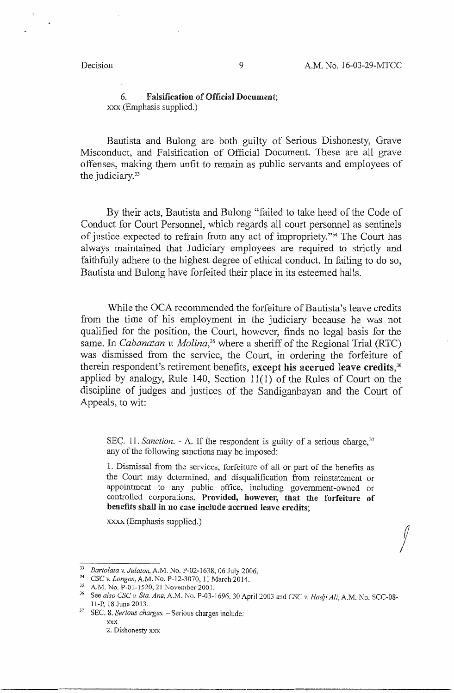$\int$ 

6. **Falsification of Official Document;**  xxx (Emphasis supplied.)

Bautista and Bulong are both guilty of Serious Dishonesty, Grave Misconduct, and Falsification of Official Document. These are all grave offenses, making them unfit to remain as public servants and employees of the judiciary. $33$ 

By their acts, Bautista and Bulong "failed to take heed of the Code of Conduct for Court Personnel, which regards all court personnel as sentinels of justice expected to refrain from any act of impropriety."34 The Court has always maintained that Judiciary employees are required to strictly and faithfully adhere to the highest degree of ethical conduct. In failing to do so, Bautista and Bulong have forfeited their place in its esteemed halls.

While the OCA recommended the forfeiture of Bautista's leave credits from the time of his employment in the judiciary because he was not qualified for the position, the Court, however, finds no legal basis for the same. In *Cabanatan v. Molina*,<sup>35</sup> where a sheriff of the Regional Trial (RTC) was dismissed from the service, the Court, in ordering the forfeiture of therein respondent's retirement benefits, **except his accrued leave credits,36**  applied by analogy, Rule 140, Section  $11(1)$  of the Rules of Court on the discipline of judges and justices of the Sandiganbayan and the Court of Appeals, to wit:

SEC. 11. *Sanction.* - A. If the respondent is guilty of a serious charge,<sup>37</sup> any of the following sanctions may be imposed:

1. Dismissal from the services, forfeiture of all or part of the benefits as the Court may determined, and disqualification from reinstatement or appointment to any public office, including government-owned or controlled corporations, **Provided, however, that the forfeiture of benefits shall in no case include-accrued** leave **credits;** 

xxxx (Emphasis supplied.)

<sup>33</sup>*Bartolata v. Julaton,* A.M. No. P-02-1638, 06 July 2006.

<sup>34</sup>*CSC v. Longos,* A.M. No. P-12-3070, 11 March 2014.

<sup>35</sup> A.M. No. P-01-1520, 21 November 2001.

<sup>36</sup> See *also CSC v. Sta. Ana,* A.M. No. P-03-1696, 30 April *2003* and *CSC v. Hadji Ali,* A.M. No. SCC-08- 11-P, 18 June 2013.

<sup>37</sup> SEC. 8. *Serious charges.* - Serious charges include:

XXX 2. Dishonesty xxx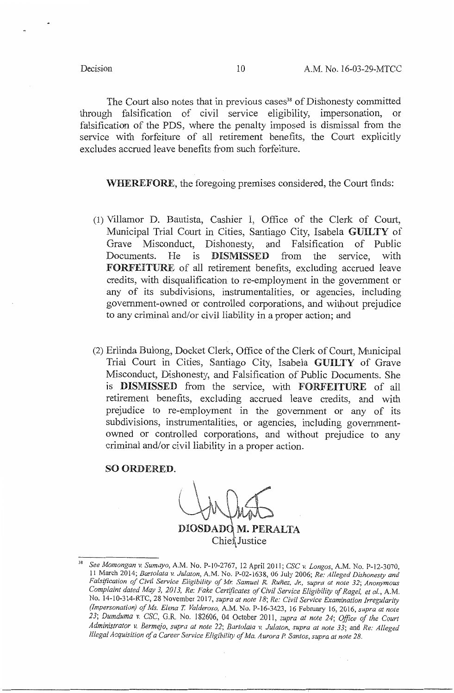The Court also notes that in previous cases<sup>38</sup> of Dishonesty committed through falsification of civil service eligibility, impersonation, or falsification of the PDS, where the penalty imposed is dismissal from the service with forfeiture of all retirement benefits, the Court explicitly excludes accrued leave benefits from such forfeiture.

## **WHEREFORE,** the foregoing premises considered, the Court finds:

- (1) Villamor D. Bautista, Cashier I, Office of the Clerk of Court, Municipal Trial Court in Cities, Santiago City, Isabela **GUILTY** of Grave Misconduct, Dishonesty, and Falsification of Public Documents. He is **DISMISSED** from the service, with **FORFEITURE** of all retirement benefits, excluding accrued leave credits, with disqualification to re-employment in the government or any of its subdivisions, instrumentalities, or agencies, including government-owned or controlled corporations, and without prejudice to any criminal and/or civil liability in a proper action; and
- (2) Erlinda Bulong, Docket Clerk, Office of the Clerk of Court, Municipal Trial Court in Cities, Santiago City, Isabela **GUILTY** of Grave Misconduct, Dishonesty, and Falsification of Public Documents. She is DISMISSED from the service, with FORFEITURE of all retirement benefits, excluding accrued leave credits, and with prejudice to re-employment in the government or any of its subdivisions, instrumentalities, or agencies, including governmentowned or controlled corporations, and without prejudice to any criminal and/or civil liability in a proper action.

#### **SO ORDERED.**

DIOSDADO M. PERALTA Chien Justice

<sup>38</sup>*See Momongan v. Sumaya,* A.M. No. P-10-2767, 12 April 2011; *CSC v. Longos,* A.M. No. P-12-3070, 11 March 2014; *Bartolata v. Julaton,* A.M. No. P-02-1638, 06 July 2006; *Re: Alleged Dishonesty and Falsification of Civil Service Eligibility of Mr. Samuel R. Runez, Jr., supra at note* 32; *Anonymous Complaint dated May 3, 2013, Re: Fake Certificates of Civil Service Eligibility of Ragel, et al.,* A.M. No. 14-10-314-RTC, 28 November 2017, *supra at note 18; Re: Civil Service Examination Irregularity (Impersonation) of Ms. Elena T. Vafderoso,* A.M. No. P-16-3423, 16 February 16, 2016, *supra at note 23; Dumduma v. CSC,* G.R. No. 182606, 04 October 2011, *supra at note 24; Office of the Court Administrator v. Bermejo, supra at note 22; Bartolata* v. *Julaton, supra at note 33;* and *Re: Alleged Illegal Acquisition of a Career Service Eligibility of Ma. Aurora P Santos, supra at note 28.*